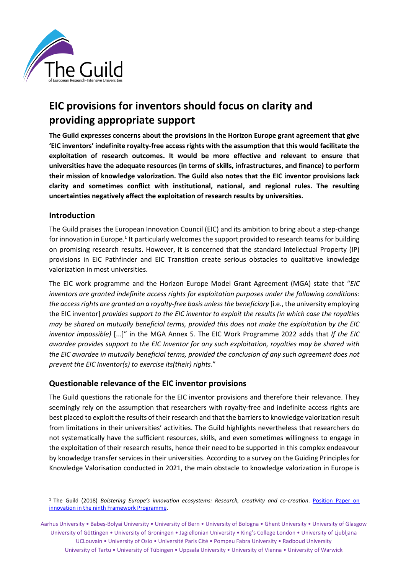

## **EIC provisions for inventors should focus on clarity and providing appropriate support**

**The Guild expresses concerns about the provisions in the Horizon Europe grant agreement that give 'EIC inventors' indefinite royalty-free access rights with the assumption that this would facilitate the exploitation of research outcomes. It would be more effective and relevant to ensure that universities have the adequate resources (in terms of skills, infrastructures, and finance) to perform their mission of knowledge valorization. The Guild also notes that the EIC inventor provisions lack clarity and sometimes conflict with institutional, national, and regional rules. The resulting uncertainties negatively affect the exploitation of research results by universities.** 

## **Introduction**

The Guild praises the European Innovation Council (EIC) and its ambition to bring about a step-change for innovation in Europe.<sup>1</sup> It particularly welcomes the support provided to research teams for building on promising research results. However, it is concerned that the standard Intellectual Property (IP) provisions in EIC Pathfinder and EIC Transition create serious obstacles to qualitative knowledge valorization in most universities.

The EIC work programme and the Horizon Europe Model Grant Agreement (MGA) state that "*EIC inventors are granted indefinite access rights for exploitation purposes under the following conditions:*  the access rights are granted on a royalty-free basis unless the beneficiary [i.e., the university employing the EIC inventor] *provides support to the EIC inventor to exploit the results (in which case the royalties may be shared on mutually beneficial terms, provided this does not make the exploitation by the EIC inventor impossible)* [...]" in the MGA Annex 5. The EIC Work Programme 2022 adds that *If the EIC awardee provides support to the EIC Inventor for any such exploitation, royalties may be shared with the EIC awardee in mutually beneficial terms, provided the conclusion of any such agreement does not prevent the EIC Inventor(s) to exercise its(their) rights.*"

## **Questionable relevance of the EIC inventor provisions**

The Guild questions the rationale for the EIC inventor provisions and therefore their relevance. They seemingly rely on the assumption that researchers with royalty-free and indefinite access rights are best placed to exploit the results of their research and that the barriers to knowledge valorization result from limitations in their universities' activities. The Guild highlights nevertheless that researchers do not systematically have the sufficient resources, skills, and even sometimes willingness to engage in the exploitation of their research results, hence their need to be supported in this complex endeavour by knowledge transfer services in their universities. According to a survey on the Guiding Principles for Knowledge Valorisation conducted in 2021, the main obstacle to knowledge valorization in Europe is

<sup>1</sup> The Guild (2018) *Bolstering Europe's innovation ecosystems: Research, creativity and co-creation*. [Position Paper](https://www.the-guild.eu/publications/position-papers/guild-position-paper-innovation.pdf) on [innovation in the ninth Framework Programme.](https://www.the-guild.eu/publications/position-papers/guild-position-paper-innovation.pdf) 

Aarhus University • Babeș-Bolyai University • University of Bern • University of Bologna • Ghent University • University of Glasgow University of Göttingen • University of Groningen • Jagiellonian University • King's College London • University of Ljubljana UCLouvain • University of Oslo • Université Paris Cité • Pompeu Fabra University • Radboud University University of Tartu • University of Tübingen • Uppsala University • University of Vienna • University of Warwick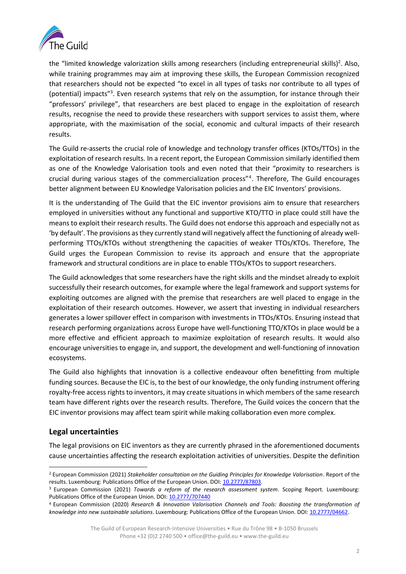

the "limited knowledge valorization skills among researchers (including entrepreneurial skills)<sup>2</sup>. Also, while training programmes may aim at improving these skills, the European Commission recognized that researchers should not be expected "to excel in all types of tasks nor contribute to all types of (potential) impacts"<sup>3</sup>. Even research systems that rely on the assumption, for instance through their "professors' privilege", that researchers are best placed to engage in the exploitation of research results, recognise the need to provide these researchers with support services to assist them, where appropriate, with the maximisation of the social, economic and cultural impacts of their research results.

The Guild re-asserts the crucial role of knowledge and technology transfer offices (KTOs/TTOs) in the exploitation of research results. In a recent report, the European Commission similarly identified them as one of the Knowledge Valorisation tools and even noted that their "proximity to researchers is crucial during various stages of the commercialization process"<sup>4</sup> . Therefore, The Guild encourages better alignment between EU Knowledge Valorisation policies and the EIC Inventors' provisions.

It is the understanding of The Guild that the EIC inventor provisions aim to ensure that researchers employed in universities without any functional and supportive KTO/TTO in place could still have the means to exploit their research results. The Guild does not endorse this approach and especially not as 'by default'. The provisions as they currently stand will negatively affect the functioning of already wellperforming TTOs/KTOs without strengthening the capacities of weaker TTOs/KTOs. Therefore, The Guild urges the European Commission to revise its approach and ensure that the appropriate framework and structural conditions are in place to enable TTOs/KTOs to support researchers.

The Guild acknowledges that some researchers have the right skills and the mindset already to exploit successfully their research outcomes, for example where the legal framework and support systems for exploiting outcomes are aligned with the premise that researchers are well placed to engage in the exploitation of their research outcomes. However, we assert that investing in individual researchers generates a lower spillover effect in comparison with investments in TTOs/KTOs. Ensuring instead that research performing organizations across Europe have well-functioning TTO/KTOs in place would be a more effective and efficient approach to maximize exploitation of research results. It would also encourage universities to engage in, and support, the development and well-functioning of innovation ecosystems.

The Guild also highlights that innovation is a collective endeavour often benefitting from multiple funding sources. Because the EIC is, to the best of our knowledge, the only funding instrument offering royalty-free access rights to inventors, it may create situations in which members of the same research team have different rights over the research results. Therefore, The Guild voices the concern that the EIC inventor provisions may affect team spirit while making collaboration even more complex.

## **Legal uncertainties**

The legal provisions on EIC inventors as they are currently phrased in the aforementioned documents cause uncertainties affecting the research exploitation activities of universities. Despite the definition

<sup>2</sup> European Commission (2021) *Stakeholder consultation on the Guiding Principles for Knowledge Valorisation*. Report of the results. Luxembourg: Publications Office of the European Union. DOI: [10.2777/87803.](https://data.europa.eu/doi/10.2777/87803)

<sup>3</sup> European Commission (2021) *Towards a reform of the research assessment system*. Scoping Report. Luxembourg: Publications Office of the European Union. DOI: [10.2777/707440](https://data.europa.eu/doi/10.2777/707440)

<sup>4</sup> European Commission (2020) *Research & Innovation Valorisation Channels and Tools: Boosting the transformation of knowledge into new sustainable solutions*. Luxembourg: Publications Office of the European Union. DOI: [10.2777/04662.](https://data.europa.eu/doi/10.2777/04662)